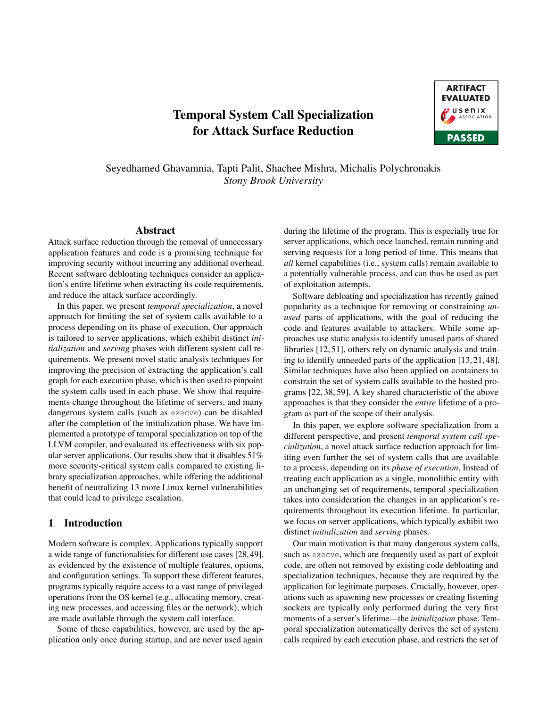# Temporal System Call Specialization for Attack Surface Reduction



Seyedhamed Ghavamnia, Tapti Palit, Shachee Mishra, Michalis Polychronakis *Stony Brook University*

#### Abstract

Attack surface reduction through the removal of unnecessary application features and code is a promising technique for improving security without incurring any additional overhead. Recent software debloating techniques consider an application's entire lifetime when extracting its code requirements, and reduce the attack surface accordingly.

In this paper, we present *temporal specialization*, a novel approach for limiting the set of system calls available to a process depending on its phase of execution. Our approach is tailored to server applications, which exhibit distinct *initialization* and *serving* phases with different system call requirements. We present novel static analysis techniques for improving the precision of extracting the application's call graph for each execution phase, which is then used to pinpoint the system calls used in each phase. We show that requirements change throughout the lifetime of servers, and many dangerous system calls (such as execve) can be disabled after the completion of the initialization phase. We have implemented a prototype of temporal specialization on top of the LLVM compiler, and evaluated its effectiveness with six popular server applications. Our results show that it disables 51% more security-critical system calls compared to existing library specialization approaches, while offering the additional benefit of neutralizing 13 more Linux kernel vulnerabilities that could lead to privilege escalation.

#### 1 Introduction

Modern software is complex. Applications typically support a wide range of functionalities for different use cases [\[28,](#page-15-0)[49\]](#page-16-0), as evidenced by the existence of multiple features, options, and configuration settings. To support these different features, programs typically require access to a vast range of privileged operations from the OS kernel (e.g., allocating memory, creating new processes, and accessing files or the network), which are made available through the system call interface.

Some of these capabilities, however, are used by the application only once during startup, and are never used again

during the lifetime of the program. This is especially true for server applications, which once launched, remain running and serving requests for a long period of time. This means that *all* kernel capabilities (i.e., system calls) remain available to a potentially vulnerable process, and can thus be used as part of exploitation attempts.

Software debloating and specialization has recently gained popularity as a technique for removing or constraining *unused* parts of applications, with the goal of reducing the code and features available to attackers. While some approaches use static analysis to identify unused parts of shared libraries [\[12,](#page-14-0) [51\]](#page-16-1), others rely on dynamic analysis and training to identify unneeded parts of the application [\[13,](#page-14-1) [21,](#page-15-1) [48\]](#page-16-2). Similar techniques have also been applied on containers to constrain the set of system calls available to the hosted programs [\[22,](#page-15-2) [38,](#page-15-3) [59\]](#page-16-3). A key shared characteristic of the above approaches is that they consider the *entire* lifetime of a program as part of the scope of their analysis.

In this paper, we explore software specialization from a different perspective, and present *temporal system call specialization*, a novel attack surface reduction approach for limiting even further the set of system calls that are available to a process, depending on its *phase of execution*. Instead of treating each application as a single, monolithic entity with an unchanging set of requirements, temporal specialization takes into consideration the changes in an application's requirements throughout its execution lifetime. In particular, we focus on server applications, which typically exhibit two distinct *initialization* and *serving* phases.

Our main motivation is that many dangerous system calls, such as execve, which are frequently used as part of exploit code, are often not removed by existing code debloating and specialization techniques, because they are required by the application for legitimate purposes. Crucially, however, operations such as spawning new processes or creating listening sockets are typically only performed during the very first moments of a server's lifetime—the *initialization* phase. Temporal specialization automatically derives the set of system calls required by each execution phase, and restricts the set of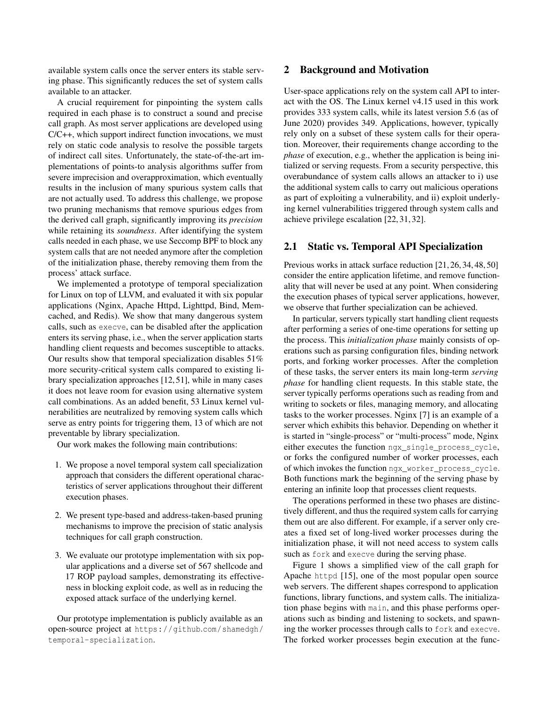available system calls once the server enters its stable serving phase. This significantly reduces the set of system calls available to an attacker.

A crucial requirement for pinpointing the system calls required in each phase is to construct a sound and precise call graph. As most server applications are developed using C/C++, which support indirect function invocations, we must rely on static code analysis to resolve the possible targets of indirect call sites. Unfortunately, the state-of-the-art implementations of points-to analysis algorithms suffer from severe imprecision and overapproximation, which eventually results in the inclusion of many spurious system calls that are not actually used. To address this challenge, we propose two pruning mechanisms that remove spurious edges from the derived call graph, significantly improving its *precision* while retaining its *soundness*. After identifying the system calls needed in each phase, we use Seccomp BPF to block any system calls that are not needed anymore after the completion of the initialization phase, thereby removing them from the process' attack surface.

We implemented a prototype of temporal specialization for Linux on top of LLVM, and evaluated it with six popular applications (Nginx, Apache Httpd, Lighttpd, Bind, Memcached, and Redis). We show that many dangerous system calls, such as execve, can be disabled after the application enters its serving phase, i.e., when the server application starts handling client requests and becomes susceptible to attacks. Our results show that temporal specialization disables 51% more security-critical system calls compared to existing library specialization approaches [\[12,](#page-14-0) [51\]](#page-16-1), while in many cases it does not leave room for evasion using alternative system call combinations. As an added benefit, 53 Linux kernel vulnerabilities are neutralized by removing system calls which serve as entry points for triggering them, 13 of which are not preventable by library specialization.

Our work makes the following main contributions:

- 1. We propose a novel temporal system call specialization approach that considers the different operational characteristics of server applications throughout their different execution phases.
- 2. We present type-based and address-taken-based pruning mechanisms to improve the precision of static analysis techniques for call graph construction.
- 3. We evaluate our prototype implementation with six popular applications and a diverse set of 567 shellcode and 17 ROP payload samples, demonstrating its effectiveness in blocking exploit code, as well as in reducing the exposed attack surface of the underlying kernel.

Our prototype implementation is publicly available as an open-source project at [https://github](https://github.com/shamedgh/temporal-specialization).com/shamedgh/ [temporal-specialization](https://github.com/shamedgh/temporal-specialization).

## 2 Background and Motivation

User-space applications rely on the system call API to interact with the OS. The Linux kernel v4.15 used in this work provides 333 system calls, while its latest version 5.6 (as of June 2020) provides 349. Applications, however, typically rely only on a subset of these system calls for their operation. Moreover, their requirements change according to the *phase* of execution, e.g., whether the application is being initialized or serving requests. From a security perspective, this overabundance of system calls allows an attacker to i) use the additional system calls to carry out malicious operations as part of exploiting a vulnerability, and ii) exploit underlying kernel vulnerabilities triggered through system calls and achieve privilege escalation [\[22,](#page-15-2) [31,](#page-15-4) [32\]](#page-15-5).

#### <span id="page-1-0"></span>2.1 Static vs. Temporal API Specialization

Previous works in attack surface reduction [\[21,](#page-15-1) [26,](#page-15-6) [34,](#page-15-7) [48,](#page-16-2) [50\]](#page-16-4) consider the entire application lifetime, and remove functionality that will never be used at any point. When considering the execution phases of typical server applications, however, we observe that further specialization can be achieved.

In particular, servers typically start handling client requests after performing a series of one-time operations for setting up the process. This *initialization phase* mainly consists of operations such as parsing configuration files, binding network ports, and forking worker processes. After the completion of these tasks, the server enters its main long-term *serving phase* for handling client requests. In this stable state, the server typically performs operations such as reading from and writing to sockets or files, managing memory, and allocating tasks to the worker processes. Nginx [\[7\]](#page-14-2) is an example of a server which exhibits this behavior. Depending on whether it is started in "single-process" or "multi-process" mode, Nginx either executes the function ngx\_single\_process\_cycle, or forks the configured number of worker processes, each of which invokes the function ngx\_worker\_process\_cycle. Both functions mark the beginning of the serving phase by entering an infinite loop that processes client requests.

The operations performed in these two phases are distinctively different, and thus the required system calls for carrying them out are also different. For example, if a server only creates a fixed set of long-lived worker processes during the initialization phase, it will not need access to system calls such as fork and execve during the serving phase.

Figure [1](#page-2-0) shows a simplified view of the call graph for Apache httpd [\[15\]](#page-14-3), one of the most popular open source web servers. The different shapes correspond to application functions, library functions, and system calls. The initialization phase begins with main, and this phase performs operations such as binding and listening to sockets, and spawning the worker processes through calls to fork and execve. The forked worker processes begin execution at the func-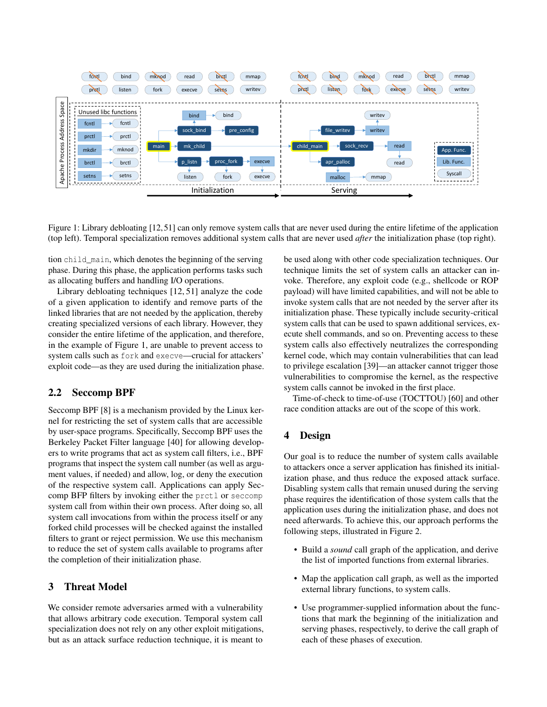<span id="page-2-0"></span>

Figure 1: Library debloating [\[12,](#page-14-0)[51\]](#page-16-1) can only remove system calls that are never used during the entire lifetime of the application (top left). Temporal specialization removes additional system calls that are never used *after* the initialization phase (top right).

tion child\_main, which denotes the beginning of the serving phase. During this phase, the application performs tasks such as allocating buffers and handling I/O operations.

Library debloating techniques [\[12,](#page-14-0) [51\]](#page-16-1) analyze the code of a given application to identify and remove parts of the linked libraries that are not needed by the application, thereby creating specialized versions of each library. However, they consider the entire lifetime of the application, and therefore, in the example of Figure [1,](#page-2-0) are unable to prevent access to system calls such as fork and execve—crucial for attackers' exploit code—as they are used during the initialization phase.

# 2.2 Seccomp BPF

Seccomp BPF [\[8\]](#page-14-4) is a mechanism provided by the Linux kernel for restricting the set of system calls that are accessible by user-space programs. Specifically, Seccomp BPF uses the Berkeley Packet Filter language [\[40\]](#page-15-8) for allowing developers to write programs that act as system call filters, i.e., BPF programs that inspect the system call number (as well as argument values, if needed) and allow, log, or deny the execution of the respective system call. Applications can apply Seccomp BFP filters by invoking either the prctl or seccomp system call from within their own process. After doing so, all system call invocations from within the process itself or any forked child processes will be checked against the installed filters to grant or reject permission. We use this mechanism to reduce the set of system calls available to programs after the completion of their initialization phase.

### 3 Threat Model

We consider remote adversaries armed with a vulnerability that allows arbitrary code execution. Temporal system call specialization does not rely on any other exploit mitigations, but as an attack surface reduction technique, it is meant to

be used along with other code specialization techniques. Our technique limits the set of system calls an attacker can invoke. Therefore, any exploit code (e.g., shellcode or ROP payload) will have limited capabilities, and will not be able to invoke system calls that are not needed by the server after its initialization phase. These typically include security-critical system calls that can be used to spawn additional services, execute shell commands, and so on. Preventing access to these system calls also effectively neutralizes the corresponding kernel code, which may contain vulnerabilities that can lead to privilege escalation [\[39\]](#page-15-9)—an attacker cannot trigger those vulnerabilities to compromise the kernel, as the respective system calls cannot be invoked in the first place.

Time-of-check to time-of-use (TOCTTOU) [\[60\]](#page-16-5) and other race condition attacks are out of the scope of this work.

# 4 Design

Our goal is to reduce the number of system calls available to attackers once a server application has finished its initialization phase, and thus reduce the exposed attack surface. Disabling system calls that remain unused during the serving phase requires the identification of those system calls that the application uses during the initialization phase, and does not need afterwards. To achieve this, our approach performs the following steps, illustrated in Figure [2.](#page-3-0)

- Build a *sound* call graph of the application, and derive the list of imported functions from external libraries.
- Map the application call graph, as well as the imported external library functions, to system calls.
- Use programmer-supplied information about the functions that mark the beginning of the initialization and serving phases, respectively, to derive the call graph of each of these phases of execution.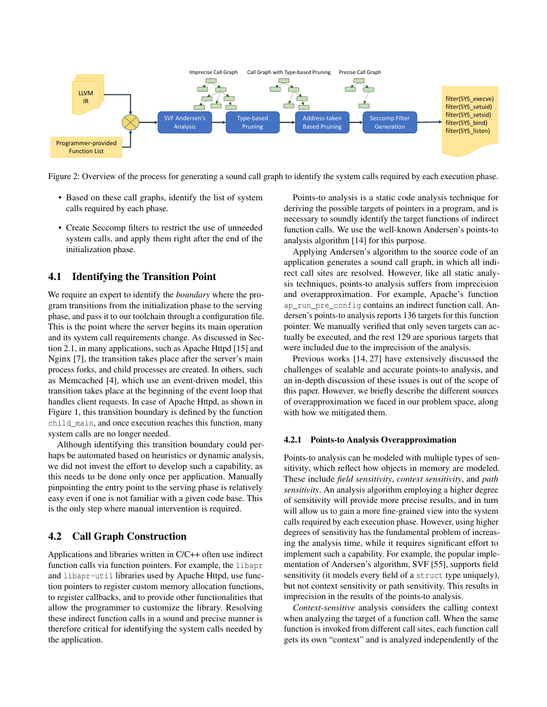<span id="page-3-0"></span>

Figure 2: Overview of the process for generating a sound call graph to identify the system calls required by each execution phase.

- Based on these call graphs, identify the list of system calls required by each phase.
- Create Seccomp filters to restrict the use of unneeded system calls, and apply them right after the end of the initialization phase.

## 4.1 Identifying the Transition Point

We require an expert to identify the *boundary* where the program transitions from the initialization phase to the serving phase, and pass it to our toolchain through a configuration file. This is the point where the server begins its main operation and its system call requirements change. As discussed in Section [2.1,](#page-1-0) in many applications, such as Apache Httpd [\[15\]](#page-14-3) and Nginx [\[7\]](#page-14-2), the transition takes place after the server's main process forks, and child processes are created. In others, such as Memcached [\[4\]](#page-14-5), which use an event-driven model, this transition takes place at the beginning of the event loop that handles client requests. In case of Apache Httpd, as shown in Figure [1,](#page-2-0) this transition boundary is defined by the function child\_main, and once execution reaches this function, many system calls are no longer needed.

Although identifying this transition boundary could perhaps be automated based on heuristics or dynamic analysis, we did not invest the effort to develop such a capability, as this needs to be done only once per application. Manually pinpointing the entry point to the serving phase is relatively easy even if one is not familiar with a given code base. This is the only step where manual intervention is required.

# <span id="page-3-1"></span>4.2 Call Graph Construction

Applications and libraries written in C/C++ often use indirect function calls via function pointers. For example, the libapr and libapr-util libraries used by Apache Httpd, use function pointers to register custom memory allocation functions, to register callbacks, and to provide other functionalities that allow the programmer to customize the library. Resolving these indirect function calls in a sound and precise manner is therefore critical for identifying the system calls needed by the application.

Points-to analysis is a static code analysis technique for deriving the possible targets of pointers in a program, and is necessary to soundly identify the target functions of indirect function calls. We use the well-known Andersen's points-to analysis algorithm [\[14\]](#page-14-6) for this purpose.

Applying Andersen's algorithm to the source code of an application generates a sound call graph, in which all indirect call sites are resolved. However, like all static analysis techniques, points-to analysis suffers from imprecision and overapproximation. For example, Apache's function ap\_run\_pre\_config contains an indirect function call. Andersen's points-to analysis reports 136 targets for this function pointer. We manually verified that only seven targets can actually be executed, and the rest 129 are spurious targets that were included due to the imprecision of the analysis.

Previous works [\[14,](#page-14-6) [27\]](#page-15-10) have extensively discussed the challenges of scalable and accurate points-to analysis, and an in-depth discussion of these issues is out of the scope of this paper. However, we briefly describe the different sources of overapproximation we faced in our problem space, along with how we mitigated them.

#### 4.2.1 Points-to Analysis Overapproximation

Points-to analysis can be modeled with multiple types of sensitivity, which reflect how objects in memory are modeled. These include *field sensitivity*, *context sensitivity*, and *path sensitivity*. An analysis algorithm employing a higher degree of sensitivity will provide more precise results, and in turn will allow us to gain a more fine-grained view into the system calls required by each execution phase. However, using higher degrees of sensitivity has the fundamental problem of increasing the analysis time, while it requires significant effort to implement such a capability. For example, the popular implementation of Andersen's algorithm, SVF [\[55\]](#page-16-6), supports field sensitivity (it models every field of a struct type uniquely), but not context sensitivity or path sensitivity. This results in imprecision in the results of the points-to analysis.

*Context-sensitive* analysis considers the calling context when analyzing the target of a function call. When the same function is invoked from different call sites, each function call gets its own "context" and is analyzed independently of the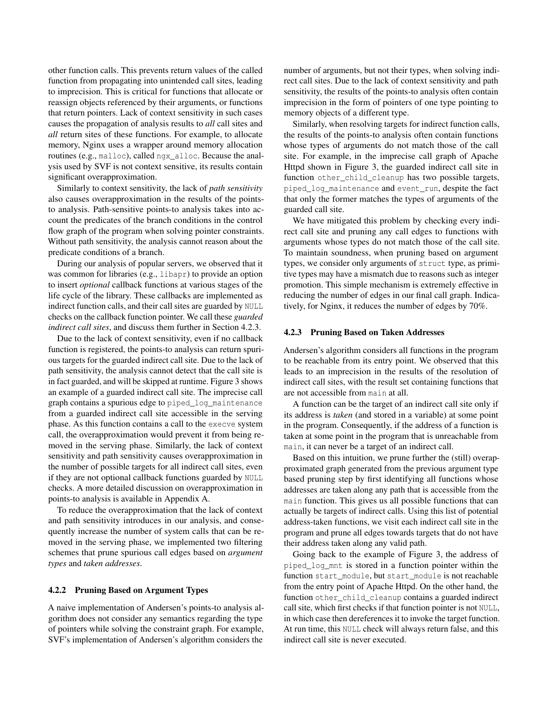other function calls. This prevents return values of the called function from propagating into unintended call sites, leading to imprecision. This is critical for functions that allocate or reassign objects referenced by their arguments, or functions that return pointers. Lack of context sensitivity in such cases causes the propagation of analysis results to *all* call sites and *all* return sites of these functions. For example, to allocate memory, Nginx uses a wrapper around memory allocation routines (e.g., malloc), called ngx alloc. Because the analysis used by SVF is not context sensitive, its results contain significant overapproximation.

Similarly to context sensitivity, the lack of *path sensitivity* also causes overapproximation in the results of the pointsto analysis. Path-sensitive points-to analysis takes into account the predicates of the branch conditions in the control flow graph of the program when solving pointer constraints. Without path sensitivity, the analysis cannot reason about the predicate conditions of a branch.

During our analysis of popular servers, we observed that it was common for libraries (e.g., libapr) to provide an option to insert *optional* callback functions at various stages of the life cycle of the library. These callbacks are implemented as indirect function calls, and their call sites are guarded by NULL checks on the callback function pointer. We call these *guarded indirect call sites*, and discuss them further in Section [4.2.3.](#page-4-0)

Due to the lack of context sensitivity, even if no callback function is registered, the points-to analysis can return spurious targets for the guarded indirect call site. Due to the lack of path sensitivity, the analysis cannot detect that the call site is in fact guarded, and will be skipped at runtime. Figure [3](#page-5-0) shows an example of a guarded indirect call site. The imprecise call graph contains a spurious edge to piped\_log\_maintenance from a guarded indirect call site accessible in the serving phase. As this function contains a call to the execve system call, the overapproximation would prevent it from being removed in the serving phase. Similarly, the lack of context sensitivity and path sensitivity causes overapproximation in the number of possible targets for all indirect call sites, even if they are not optional callback functions guarded by NULL checks. A more detailed discussion on overapproximation in points-to analysis is available in Appendix [A.](#page-17-0)

To reduce the overapproximation that the lack of context and path sensitivity introduces in our analysis, and consequently increase the number of system calls that can be removed in the serving phase, we implemented two filtering schemes that prune spurious call edges based on *argument types* and *taken addresses*.

#### <span id="page-4-1"></span>4.2.2 Pruning Based on Argument Types

A naive implementation of Andersen's points-to analysis algorithm does not consider any semantics regarding the type of pointers while solving the constraint graph. For example, SVF's implementation of Andersen's algorithm considers the

number of arguments, but not their types, when solving indirect call sites. Due to the lack of context sensitivity and path sensitivity, the results of the points-to analysis often contain imprecision in the form of pointers of one type pointing to memory objects of a different type.

Similarly, when resolving targets for indirect function calls, the results of the points-to analysis often contain functions whose types of arguments do not match those of the call site. For example, in the imprecise call graph of Apache Httpd shown in Figure [3,](#page-5-0) the guarded indirect call site in function other\_child\_cleanup has two possible targets, piped log maintenance and event run, despite the fact that only the former matches the types of arguments of the guarded call site.

We have mitigated this problem by checking every indirect call site and pruning any call edges to functions with arguments whose types do not match those of the call site. To maintain soundness, when pruning based on argument types, we consider only arguments of struct type, as primitive types may have a mismatch due to reasons such as integer promotion. This simple mechanism is extremely effective in reducing the number of edges in our final call graph. Indicatively, for Nginx, it reduces the number of edges by 70%.

## <span id="page-4-0"></span>4.2.3 Pruning Based on Taken Addresses

Andersen's algorithm considers all functions in the program to be reachable from its entry point. We observed that this leads to an imprecision in the results of the resolution of indirect call sites, with the result set containing functions that are not accessible from main at all.

A function can be the target of an indirect call site only if its address is *taken* (and stored in a variable) at some point in the program. Consequently, if the address of a function is taken at some point in the program that is unreachable from main, it can never be a target of an indirect call.

Based on this intuition, we prune further the (still) overapproximated graph generated from the previous argument type based pruning step by first identifying all functions whose addresses are taken along any path that is accessible from the main function. This gives us all possible functions that can actually be targets of indirect calls. Using this list of potential address-taken functions, we visit each indirect call site in the program and prune all edges towards targets that do not have their address taken along any valid path.

Going back to the example of Figure [3,](#page-5-0) the address of piped\_log\_mnt is stored in a function pointer within the function start\_module, but start\_module is not reachable from the entry point of Apache Httpd. On the other hand, the function other\_child\_cleanup contains a guarded indirect call site, which first checks if that function pointer is not NULL, in which case then dereferences it to invoke the target function. At run time, this NULL check will always return false, and this indirect call site is never executed.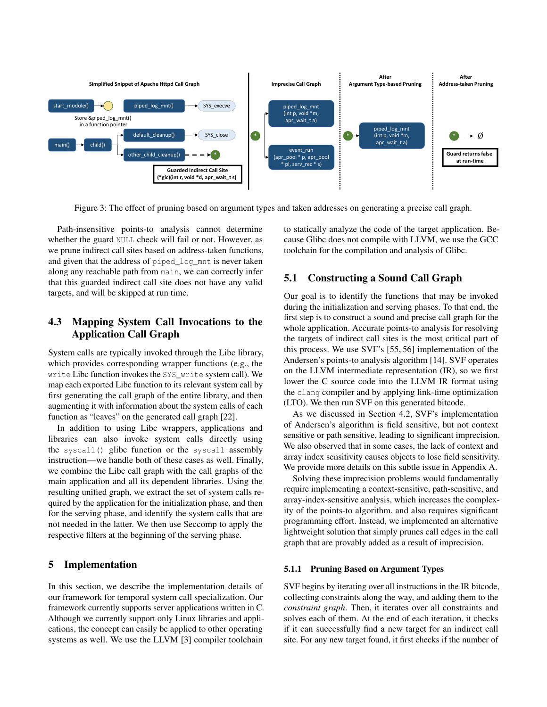<span id="page-5-0"></span>

Figure 3: The effect of pruning based on argument types and taken addresses on generating a precise call graph.

Path-insensitive points-to analysis cannot determine whether the guard NULL check will fail or not. However, as we prune indirect call sites based on address-taken functions, and given that the address of piped\_log\_mnt is never taken along any reachable path from main, we can correctly infer that this guarded indirect call site does not have any valid targets, and will be skipped at run time.

# 4.3 Mapping System Call Invocations to the Application Call Graph

System calls are typically invoked through the Libc library, which provides corresponding wrapper functions (e.g., the write Libc function invokes the SYS write system call). We map each exported Libc function to its relevant system call by first generating the call graph of the entire library, and then augmenting it with information about the system calls of each function as "leaves" on the generated call graph [\[22\]](#page-15-2).

In addition to using Libc wrappers, applications and libraries can also invoke system calls directly using the syscall() glibc function or the syscall assembly instruction—we handle both of these cases as well. Finally, we combine the Libc call graph with the call graphs of the main application and all its dependent libraries. Using the resulting unified graph, we extract the set of system calls required by the application for the initialization phase, and then for the serving phase, and identify the system calls that are not needed in the latter. We then use Seccomp to apply the respective filters at the beginning of the serving phase.

# 5 Implementation

In this section, we describe the implementation details of our framework for temporal system call specialization. Our framework currently supports server applications written in C. Although we currently support only Linux libraries and applications, the concept can easily be applied to other operating systems as well. We use the LLVM [\[3\]](#page-14-7) compiler toolchain

to statically analyze the code of the target application. Because Glibc does not compile with LLVM, we use the GCC toolchain for the compilation and analysis of Glibc.

# <span id="page-5-1"></span>5.1 Constructing a Sound Call Graph

Our goal is to identify the functions that may be invoked during the initialization and serving phases. To that end, the first step is to construct a sound and precise call graph for the whole application. Accurate points-to analysis for resolving the targets of indirect call sites is the most critical part of this process. We use SVF's [\[55,](#page-16-6) [56\]](#page-16-7) implementation of the Andersen's points-to analysis algorithm [\[14\]](#page-14-6). SVF operates on the LLVM intermediate representation (IR), so we first lower the C source code into the LLVM IR format using the clang compiler and by applying link-time optimization (LTO). We then run SVF on this generated bitcode.

As we discussed in Section [4.2,](#page-3-1) SVF's implementation of Andersen's algorithm is field sensitive, but not context sensitive or path sensitive, leading to significant imprecision. We also observed that in some cases, the lack of context and array index sensitivity causes objects to lose field sensitivity. We provide more details on this subtle issue in Appendix [A.](#page-17-0)

Solving these imprecision problems would fundamentally require implementing a context-sensitive, path-sensitive, and array-index-sensitive analysis, which increases the complexity of the points-to algorithm, and also requires significant programming effort. Instead, we implemented an alternative lightweight solution that simply prunes call edges in the call graph that are provably added as a result of imprecision.

#### 5.1.1 Pruning Based on Argument Types

SVF begins by iterating over all instructions in the IR bitcode, collecting constraints along the way, and adding them to the *constraint graph*. Then, it iterates over all constraints and solves each of them. At the end of each iteration, it checks if it can successfully find a new target for an indirect call site. For any new target found, it first checks if the number of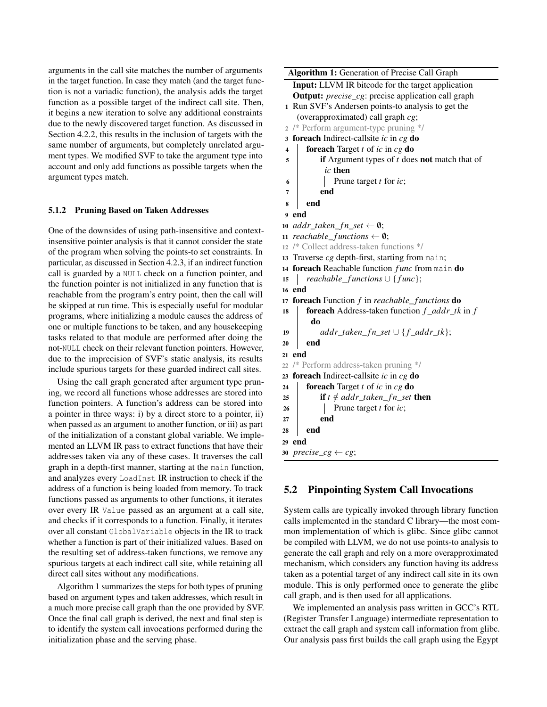arguments in the call site matches the number of arguments in the target function. In case they match (and the target function is not a variadic function), the analysis adds the target function as a possible target of the indirect call site. Then, it begins a new iteration to solve any additional constraints due to the newly discovered target function. As discussed in Section [4.2.2,](#page-4-1) this results in the inclusion of targets with the same number of arguments, but completely unrelated argument types. We modified SVF to take the argument type into account and only add functions as possible targets when the argument types match.

#### 5.1.2 Pruning Based on Taken Addresses

One of the downsides of using path-insensitive and contextinsensitive pointer analysis is that it cannot consider the state of the program when solving the points-to set constraints. In particular, as discussed in Section [4.2.3,](#page-4-0) if an indirect function call is guarded by a NULL check on a function pointer, and the function pointer is not initialized in any function that is reachable from the program's entry point, then the call will be skipped at run time. This is especially useful for modular programs, where initializing a module causes the address of one or multiple functions to be taken, and any housekeeping tasks related to that module are performed after doing the not-NULL check on their relevant function pointers. However, due to the imprecision of SVF's static analysis, its results include spurious targets for these guarded indirect call sites.

Using the call graph generated after argument type pruning, we record all functions whose addresses are stored into function pointers. A function's address can be stored into a pointer in three ways: i) by a direct store to a pointer, ii) when passed as an argument to another function, or iii) as part of the initialization of a constant global variable. We implemented an LLVM IR pass to extract functions that have their addresses taken via any of these cases. It traverses the call graph in a depth-first manner, starting at the main function, and analyzes every LoadInst IR instruction to check if the address of a function is being loaded from memory. To track functions passed as arguments to other functions, it iterates over every IR Value passed as an argument at a call site, and checks if it corresponds to a function. Finally, it iterates over all constant GlobalVariable objects in the IR to track whether a function is part of their initialized values. Based on the resulting set of address-taken functions, we remove any spurious targets at each indirect call site, while retaining all direct call sites without any modifications.

Algorithm [1](#page-6-0) summarizes the steps for both types of pruning based on argument types and taken addresses, which result in a much more precise call graph than the one provided by SVF. Once the final call graph is derived, the next and final step is to identify the system call invocations performed during the initialization phase and the serving phase.

Algorithm 1: Generation of Precise Call Graph Input: LLVM IR bitcode for the target application Output: *precise*\_*cg*: precise application call graph 1 Run SVF's Andersen points-to analysis to get the (overapproximated) call graph *cg*; 2 /\* Perform argument-type pruning \*/ <sup>3</sup> foreach Indirect-callsite *ic* in *cg* do <sup>4</sup> foreach Target *t* of *ic* in *cg* do 5 **i** if Argument types of *t* does **not** match that of *ic* then  $\begin{array}{|c|c|c|c|c|} \hline \hline \end{array}$  Prune target *t* for *ic*;  $7 \mid \cdot \cdot$  end 8 end 9 end 10  $addr\_taken\_fn\_set \leftarrow \emptyset;$ 11 *reachable\_functions*  $\leftarrow \emptyset$ ; <sup>12</sup> /\* Collect address-taken functions \*/ <sup>13</sup> Traverse *cg* depth-first, starting from main; <sup>14</sup> foreach Reachable function *f unc* from main do 15 *reachable\_functions* ∪ {*func*}; 16 end 17 **foreach** Function *f* in *reachable\_functions* **do** <sup>18</sup> foreach Address-taken function *f* \_*addr*\_*tk* in *f* do 19  $\vert$  *addr\_taken\_fn\_set*  $\cup$  {*f\_addr\_tk*};  $20$  end 21 end <sup>22</sup> /\* Perform address-taken pruning \*/ <sup>23</sup> foreach Indirect-callsite *ic* in *cg* do <sup>24</sup> foreach Target *t* of *ic* in *cg* do 25 **i** if  $t \notin addr\_taken\_fn\_set$  then 26 **Prune target** *t* for *ic*;  $27$  end  $28$  end 29 end 30  $precise_cg \leftarrow cg;$ 

# <span id="page-6-0"></span>5.2 Pinpointing System Call Invocations

System calls are typically invoked through library function calls implemented in the standard C library—the most common implementation of which is glibc. Since glibc cannot be compiled with LLVM, we do not use points-to analysis to generate the call graph and rely on a more overapproximated mechanism, which considers any function having its address taken as a potential target of any indirect call site in its own module. This is only performed once to generate the glibc call graph, and is then used for all applications.

We implemented an analysis pass written in GCC's RTL (Register Transfer Language) intermediate representation to extract the call graph and system call information from glibc. Our analysis pass first builds the call graph using the Egypt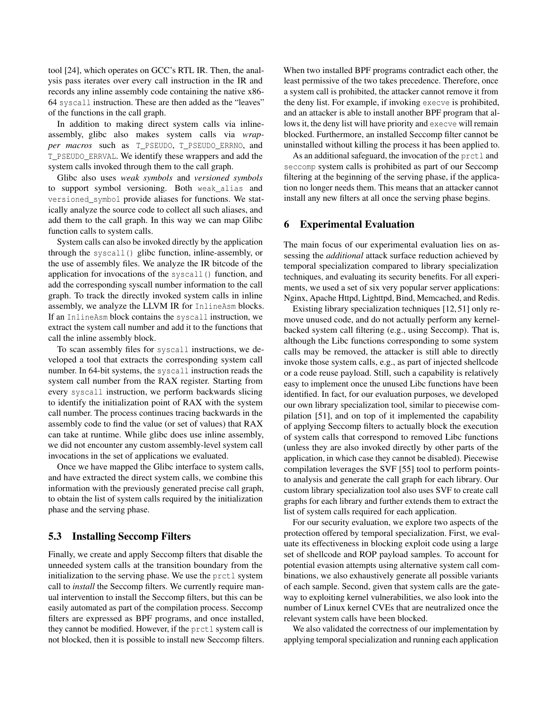tool [\[24\]](#page-15-11), which operates on GCC's RTL IR. Then, the analysis pass iterates over every call instruction in the IR and records any inline assembly code containing the native x86- 64 syscall instruction. These are then added as the "leaves" of the functions in the call graph.

In addition to making direct system calls via inlineassembly, glibc also makes system calls via *wrapper macros* such as T\_PSEUDO, T\_PSEUDO\_ERRNO, and T\_PSEUDO\_ERRVAL. We identify these wrappers and add the system calls invoked through them to the call graph.

Glibc also uses *weak symbols* and *versioned symbols* to support symbol versioning. Both weak\_alias and versioned\_symbol provide aliases for functions. We statically analyze the source code to collect all such aliases, and add them to the call graph. In this way we can map Glibc function calls to system calls.

System calls can also be invoked directly by the application through the syscall() glibc function, inline-assembly, or the use of assembly files. We analyze the IR bitcode of the application for invocations of the syscall() function, and add the corresponding syscall number information to the call graph. To track the directly invoked system calls in inline assembly, we analyze the LLVM IR for InlineAsm blocks. If an InlineAsm block contains the syscall instruction, we extract the system call number and add it to the functions that call the inline assembly block.

To scan assembly files for syscall instructions, we developed a tool that extracts the corresponding system call number. In 64-bit systems, the syscall instruction reads the system call number from the RAX register. Starting from every syscall instruction, we perform backwards slicing to identify the initialization point of RAX with the system call number. The process continues tracing backwards in the assembly code to find the value (or set of values) that RAX can take at runtime. While glibc does use inline assembly, we did not encounter any custom assembly-level system call invocations in the set of applications we evaluated.

Once we have mapped the Glibc interface to system calls, and have extracted the direct system calls, we combine this information with the previously generated precise call graph, to obtain the list of system calls required by the initialization phase and the serving phase.

## 5.3 Installing Seccomp Filters

Finally, we create and apply Seccomp filters that disable the unneeded system calls at the transition boundary from the initialization to the serving phase. We use the prctl system call to *install* the Seccomp filters. We currently require manual intervention to install the Seccomp filters, but this can be easily automated as part of the compilation process. Seccomp filters are expressed as BPF programs, and once installed, they cannot be modified. However, if the prctl system call is not blocked, then it is possible to install new Seccomp filters. When two installed BPF programs contradict each other, the least permissive of the two takes precedence. Therefore, once a system call is prohibited, the attacker cannot remove it from the deny list. For example, if invoking execve is prohibited, and an attacker is able to install another BPF program that allows it, the deny list will have priority and execve will remain blocked. Furthermore, an installed Seccomp filter cannot be uninstalled without killing the process it has been applied to.

As an additional safeguard, the invocation of the prctl and seccomp system calls is prohibited as part of our Seccomp filtering at the beginning of the serving phase, if the application no longer needs them. This means that an attacker cannot install any new filters at all once the serving phase begins.

## 6 Experimental Evaluation

The main focus of our experimental evaluation lies on assessing the *additional* attack surface reduction achieved by temporal specialization compared to library specialization techniques, and evaluating its security benefits. For all experiments, we used a set of six very popular server applications: Nginx, Apache Httpd, Lighttpd, Bind, Memcached, and Redis.

Existing library specialization techniques [\[12,](#page-14-0) [51\]](#page-16-1) only remove unused code, and do not actually perform any kernelbacked system call filtering (e.g., using Seccomp). That is, although the Libc functions corresponding to some system calls may be removed, the attacker is still able to directly invoke those system calls, e.g., as part of injected shellcode or a code reuse payload. Still, such a capability is relatively easy to implement once the unused Libc functions have been identified. In fact, for our evaluation purposes, we developed our own library specialization tool, similar to piecewise compilation [\[51\]](#page-16-1), and on top of it implemented the capability of applying Seccomp filters to actually block the execution of system calls that correspond to removed Libc functions (unless they are also invoked directly by other parts of the application, in which case they cannot be disabled). Piecewise compilation leverages the SVF [\[55\]](#page-16-6) tool to perform pointsto analysis and generate the call graph for each library. Our custom library specialization tool also uses SVF to create call graphs for each library and further extends them to extract the list of system calls required for each application.

For our security evaluation, we explore two aspects of the protection offered by temporal specialization. First, we evaluate its effectiveness in blocking exploit code using a large set of shellcode and ROP payload samples. To account for potential evasion attempts using alternative system call combinations, we also exhaustively generate all possible variants of each sample. Second, given that system calls are the gateway to exploiting kernel vulnerabilities, we also look into the number of Linux kernel CVEs that are neutralized once the relevant system calls have been blocked.

We also validated the correctness of our implementation by applying temporal specialization and running each application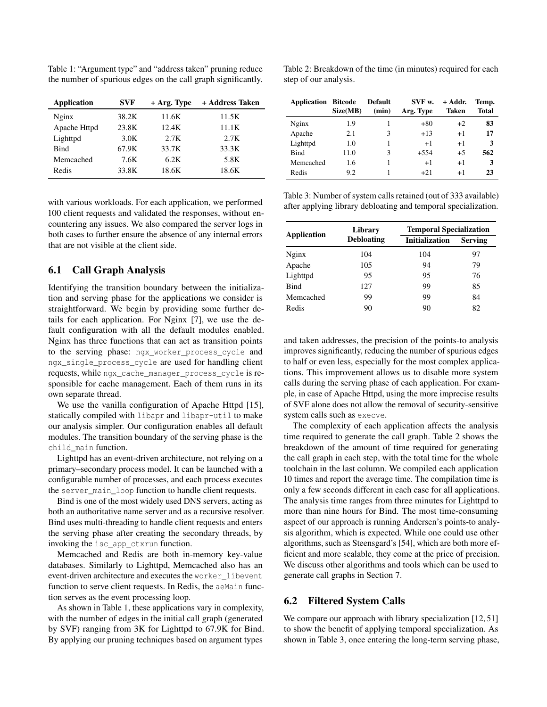<span id="page-8-0"></span>Table 1: "Argument type" and "address taken" pruning reduce the number of spurious edges on the call graph significantly.

| <b>Application</b> | <b>SVF</b> | $+$ Arg. Type | + Address Taken |
|--------------------|------------|---------------|-----------------|
| Nginx              | 38.2K      | 11.6K         | 11.5K           |
| Apache Httpd       | 23.8K      | 12.4K         | 11.1K           |
| Lighttpd           | 3.0K       | 2.7K          | 2.7K            |
| <b>Bind</b>        | 67.9K      | 33.7K         | 33.3K           |
| Memcached          | 7.6K       | 6.2K          | 5.8K            |
| Redis              | 33.8K      | 18.6K         | 18.6K           |

with various workloads. For each application, we performed 100 client requests and validated the responses, without encountering any issues. We also compared the server logs in both cases to further ensure the absence of any internal errors that are not visible at the client side.

# 6.1 Call Graph Analysis

Identifying the transition boundary between the initialization and serving phase for the applications we consider is straightforward. We begin by providing some further details for each application. For Nginx [\[7\]](#page-14-2), we use the default configuration with all the default modules enabled. Nginx has three functions that can act as transition points to the serving phase: ngx\_worker\_process\_cycle and ngx\_single\_process\_cycle are used for handling client requests, while ngx\_cache\_manager\_process\_cycle is responsible for cache management. Each of them runs in its own separate thread.

We use the vanilla configuration of Apache Httpd [\[15\]](#page-14-3), statically compiled with libapr and libapr-util to make our analysis simpler. Our configuration enables all default modules. The transition boundary of the serving phase is the child\_main function.

Lighttpd has an event-driven architecture, not relying on a primary–secondary process model. It can be launched with a configurable number of processes, and each process executes the server\_main\_loop function to handle client requests.

Bind is one of the most widely used DNS servers, acting as both an authoritative name server and as a recursive resolver. Bind uses multi-threading to handle client requests and enters the serving phase after creating the secondary threads, by invoking the isc\_app\_ctxrun function.

Memcached and Redis are both in-memory key-value databases. Similarly to Lighttpd, Memcached also has an event-driven architecture and executes the worker\_libevent function to serve client requests. In Redis, the aeMain function serves as the event processing loop.

As shown in Table [1,](#page-8-0) these applications vary in complexity, with the number of edges in the initial call graph (generated by SVF) ranging from 3K for Lighttpd to 67.9K for Bind. By applying our pruning techniques based on argument types

<span id="page-8-1"></span>Table 2: Breakdown of the time (in minutes) required for each step of our analysis.

| <b>Application Bitcode</b> | Size(MB) | <b>Default</b><br>(min) | SVF w.<br>Arg. Type | + Addr.<br>Taken | Temp.<br>Total |
|----------------------------|----------|-------------------------|---------------------|------------------|----------------|
| Nginx                      | 1.9      |                         | $+80$               | $+2$             | 83             |
| Apache                     | 2.1      | 3                       | $+13$               | $+1$             | 17             |
| Lighttpd                   | 1.0      |                         | $+1$                | $+1$             | 3              |
| <b>Bind</b>                | 11.0     | 3                       | $+5.54$             | $+5$             | 562            |
| Memcached                  | 1.6      |                         | $+1$                | $+1$             | 3              |
| Redis                      | 9.2      |                         | $+2.1$              | $+1$             | 23             |

<span id="page-8-2"></span>Table 3: Number of system calls retained (out of 333 available) after applying library debloating and temporal specialization.

| Application | Library           | <b>Temporal Specialization</b> |                |  |  |
|-------------|-------------------|--------------------------------|----------------|--|--|
|             | <b>Debloating</b> | <b>Initialization</b>          | <b>Serving</b> |  |  |
| Nginx       | 104               | 104                            | 97             |  |  |
| Apache      | 105               | 94                             | 79             |  |  |
| Lighttpd    | 95                | 95                             | 76             |  |  |
| <b>Bind</b> | 127               | 99                             | 85             |  |  |
| Memcached   | 99                | 99                             | 84             |  |  |
| Redis       | 90                | 90                             | 82             |  |  |

and taken addresses, the precision of the points-to analysis improves significantly, reducing the number of spurious edges to half or even less, especially for the most complex applications. This improvement allows us to disable more system calls during the serving phase of each application. For example, in case of Apache Httpd, using the more imprecise results of SVF alone does not allow the removal of security-sensitive system calls such as execve.

The complexity of each application affects the analysis time required to generate the call graph. Table [2](#page-8-1) shows the breakdown of the amount of time required for generating the call graph in each step, with the total time for the whole toolchain in the last column. We compiled each application 10 times and report the average time. The compilation time is only a few seconds different in each case for all applications. The analysis time ranges from three minutes for Lighttpd to more than nine hours for Bind. The most time-consuming aspect of our approach is running Andersen's points-to analysis algorithm, which is expected. While one could use other algorithms, such as Steensgard's [\[54\]](#page-16-8), which are both more efficient and more scalable, they come at the price of precision. We discuss other algorithms and tools which can be used to generate call graphs in Section [7.](#page-12-0)

# <span id="page-8-3"></span>6.2 Filtered System Calls

We compare our approach with library specialization [\[12,](#page-14-0) [51\]](#page-16-1) to show the benefit of applying temporal specialization. As shown in Table [3,](#page-8-2) once entering the long-term serving phase,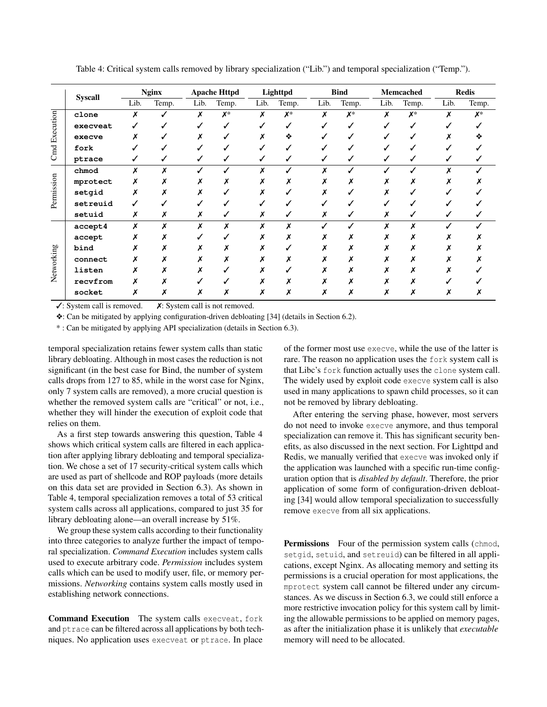<span id="page-9-0"></span>

|                      | <b>Syscall</b> |      | <b>Nginx</b> |      | <b>Apache Httpd</b> |      | Lighttpd |      | <b>Bind</b> |      | <b>Memcached</b> |      | <b>Redis</b> |  |
|----------------------|----------------|------|--------------|------|---------------------|------|----------|------|-------------|------|------------------|------|--------------|--|
|                      |                | Lib. | Temp.        | Lib. | Temp.               | Lib. | Temp.    | Lib. | Temp.       | Lib. | Temp.            | Lib. | Temp.        |  |
|                      | clone          | Х    |              | х    | $X^*$               | Х    | $X^*$    | х    | $X^*$       | х    | X*               | x    | X*           |  |
| <b>Cmd Execution</b> | execveat       |      |              |      |                     |      |          |      |             |      |                  |      |              |  |
|                      | execve         |      |              |      |                     |      | ❖        |      |             |      |                  |      |              |  |
|                      | fork           |      |              |      |                     |      |          |      |             |      |                  |      |              |  |
|                      | ptrace         |      |              |      |                     |      |          |      |             |      |                  |      |              |  |
|                      | chmod          | x    |              |      |                     |      |          |      |             |      |                  |      |              |  |
|                      | mprotect       | х    |              |      |                     |      |          |      |             |      |                  |      |              |  |
|                      | setgid         |      |              |      |                     |      |          |      |             |      |                  |      |              |  |
| Permission           | setreuid       |      |              |      |                     |      |          |      |             |      |                  |      |              |  |
|                      | setuid         | Х    | х            | х    |                     | х    | ✓        | х    |             |      |                  |      |              |  |
|                      | accept4        | X    |              |      | x                   |      | X        |      |             |      |                  |      |              |  |
|                      | accept         |      |              |      |                     |      |          |      |             |      |                  |      |              |  |
|                      | bind           |      |              |      |                     |      |          |      |             |      |                  |      |              |  |
|                      | connect        |      |              |      |                     |      |          |      |             |      |                  |      |              |  |
| Networking           | listen         |      |              |      |                     |      |          |      |             |      |                  |      |              |  |
|                      | recvfrom       |      |              |      |                     |      |          |      |             |      |                  |      |              |  |
|                      | socket         | х    |              |      |                     |      |          |      | Х           |      |                  |      |              |  |

Table 4: Critical system calls removed by library specialization ("Lib.") and temporal specialization ("Temp.").

 $\checkmark$ : System call is removed.  $\checkmark$ : System call is not removed.

❖: Can be mitigated by applying configuration-driven debloating [\[34\]](#page-15-7) (details in Section [6.2\)](#page-8-3).

\* : Can be mitigated by applying API specialization (details in Section [6.3\)](#page-10-0).

temporal specialization retains fewer system calls than static library debloating. Although in most cases the reduction is not significant (in the best case for Bind, the number of system calls drops from 127 to 85, while in the worst case for Nginx, only 7 system calls are removed), a more crucial question is whether the removed system calls are "critical" or not, i.e., whether they will hinder the execution of exploit code that relies on them.

As a first step towards answering this question, Table [4](#page-9-0) shows which critical system calls are filtered in each application after applying library debloating and temporal specialization. We chose a set of 17 security-critical system calls which are used as part of shellcode and ROP payloads (more details on this data set are provided in Section [6.3\)](#page-10-0). As shown in Table [4,](#page-9-0) temporal specialization removes a total of 53 critical system calls across all applications, compared to just 35 for library debloating alone—an overall increase by 51%.

We group these system calls according to their functionality into three categories to analyze further the impact of temporal specialization. *Command Execution* includes system calls used to execute arbitrary code. *Permission* includes system calls which can be used to modify user, file, or memory permissions. *Networking* contains system calls mostly used in establishing network connections.

Command Execution The system calls execveat, fork and ptrace can be filtered across all applications by both techniques. No application uses execveat or ptrace. In place of the former most use execve, while the use of the latter is rare. The reason no application uses the fork system call is that Libc's fork function actually uses the clone system call. The widely used by exploit code execve system call is also used in many applications to spawn child processes, so it can not be removed by library debloating.

After entering the serving phase, however, most servers do not need to invoke execve anymore, and thus temporal specialization can remove it. This has significant security benefits, as also discussed in the next section. For Lighttpd and Redis, we manually verified that execve was invoked only if the application was launched with a specific run-time configuration option that is *disabled by default*. Therefore, the prior application of some form of configuration-driven debloating [\[34\]](#page-15-7) would allow temporal specialization to successfully remove execve from all six applications.

**Permissions** Four of the permission system calls (chmod, setgid, setuid, and setreuid) can be filtered in all applications, except Nginx. As allocating memory and setting its permissions is a crucial operation for most applications, the mprotect system call cannot be filtered under any circumstances. As we discuss in Section [6.3,](#page-10-0) we could still enforce a more restrictive invocation policy for this system call by limiting the allowable permissions to be applied on memory pages, as after the initialization phase it is unlikely that *executable* memory will need to be allocated.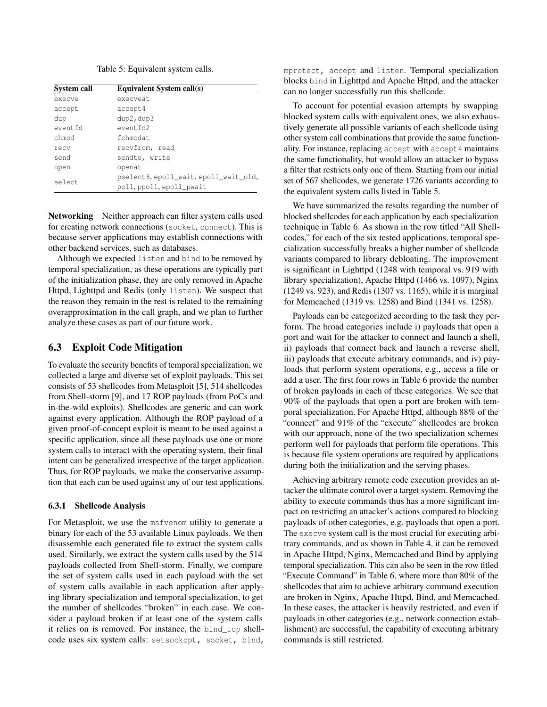Table 5: Equivalent system calls.

<span id="page-10-1"></span>

| System call | Equivalent System call(s)                                         |
|-------------|-------------------------------------------------------------------|
| execve      | execveat.                                                         |
| accept      | accept4                                                           |
| dup         | dup2, dup3                                                        |
| eventfd     | event fd2                                                         |
| chmod       | fchmodat                                                          |
| recy        | recvfrom, read                                                    |
| send        | sendto, write                                                     |
| open        | openat                                                            |
| select      | pselect6, epoll_wait, epoll_wait_old,<br>poll, ppoll, epoll_pwait |

Networking Neither approach can filter system calls used for creating network connections (socket, connect). This is because server applications may establish connections with other backend services, such as databases.

Although we expected listen and bind to be removed by temporal specialization, as these operations are typically part of the initialization phase, they are only removed in Apache Httpd, Lighttpd and Redis (only listen). We suspect that the reason they remain in the rest is related to the remaining overapproximation in the call graph, and we plan to further analyze these cases as part of our future work.

#### <span id="page-10-0"></span>6.3 Exploit Code Mitigation

To evaluate the security benefits of temporal specialization, we collected a large and diverse set of exploit payloads. This set consists of 53 shellcodes from Metasploit [\[5\]](#page-14-8), 514 shellcodes from Shell-storm [\[9\]](#page-14-9), and 17 ROP payloads (from PoCs and in-the-wild exploits). Shellcodes are generic and can work against every application. Although the ROP payload of a given proof-of-concept exploit is meant to be used against a specific application, since all these payloads use one or more system calls to interact with the operating system, their final intent can be generalized irrespective of the target application. Thus, for ROP payloads, we make the conservative assumption that each can be used against any of our test applications.

#### 6.3.1 Shellcode Analysis

For Metasploit, we use the msfvenom utility to generate a binary for each of the 53 available Linux payloads. We then disassemble each generated file to extract the system calls used. Similarly, we extract the system calls used by the 514 payloads collected from Shell-storm. Finally, we compare the set of system calls used in each payload with the set of system calls available in each application after applying library specialization and temporal specialization, to get the number of shellcodes "broken" in each case. We consider a payload broken if at least one of the system calls it relies on is removed. For instance, the bind tcp shellcode uses six system calls: setsockopt, socket, bind,

mprotect, accept and listen. Temporal specialization blocks bind in Lighttpd and Apache Httpd, and the attacker can no longer successfully run this shellcode.

To account for potential evasion attempts by swapping blocked system calls with equivalent ones, we also exhaustively generate all possible variants of each shellcode using other system call combinations that provide the same functionality. For instance, replacing accept with accept 4 maintains the same functionality, but would allow an attacker to bypass a filter that restricts only one of them. Starting from our initial set of 567 shellcodes, we generate 1726 variants according to the equivalent system calls listed in Table [5.](#page-10-1)

We have summarized the results regarding the number of blocked shellcodes for each application by each specialization technique in Table [6.](#page-11-0) As shown in the row titled "All Shellcodes," for each of the six tested applications, temporal specialization successfully breaks a higher number of shellcode variants compared to library debloating. The improvement is significant in Lighttpd (1248 with temporal vs. 919 with library specialization), Apache Httpd (1466 vs. 1097), Nginx (1249 vs. 923), and Redis (1307 vs. 1165), while it is marginal for Memcached (1319 vs. 1258) and Bind (1341 vs. 1258).

Payloads can be categorized according to the task they perform. The broad categories include i) payloads that open a port and wait for the attacker to connect and launch a shell, ii) payloads that connect back and launch a reverse shell, iii) payloads that execute arbitrary commands, and iv) payloads that perform system operations, e.g., access a file or add a user. The first four rows in Table [6](#page-11-0) provide the number of broken payloads in each of these categories. We see that 90% of the payloads that open a port are broken with temporal specialization. For Apache Httpd, although 88% of the "connect" and 91% of the "execute" shellcodes are broken with our approach, none of the two specialization schemes perform well for payloads that perform file operations. This is because file system operations are required by applications during both the initialization and the serving phases.

Achieving arbitrary remote code execution provides an attacker the ultimate control over a target system. Removing the ability to execute commands thus has a more significant impact on restricting an attacker's actions compared to blocking payloads of other categories, e.g. payloads that open a port. The execve system call is the most crucial for executing arbitrary commands, and as shown in Table [4,](#page-9-0) it can be removed in Apache Httpd, Nginx, Memcached and Bind by applying temporal specialization. This can also be seen in the row titled "Execute Command" in Table [6,](#page-11-0) where more than 80% of the shellcodes that aim to achieve arbitrary command execution are broken in Nginx, Apache Httpd, Bind, and Memcached. In these cases, the attacker is heavily restricted, and even if payloads in other categories (e.g., network connection establishment) are successful, the capability of executing arbitrary commands is still restricted.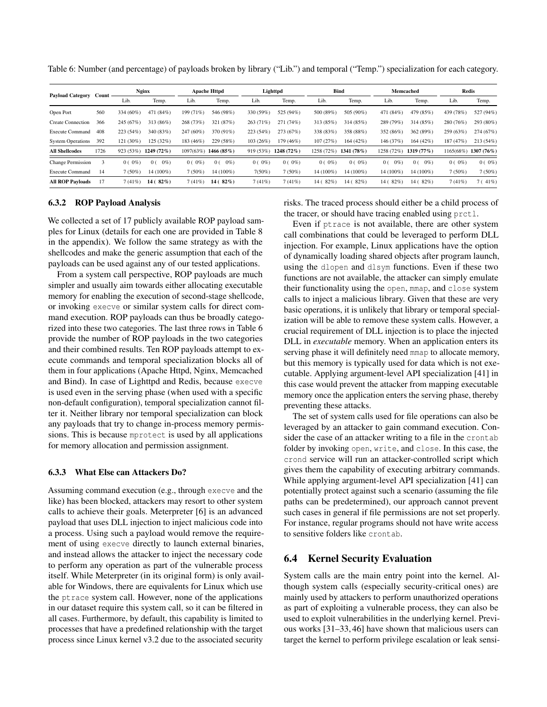| <b>Payload Category</b>  | Count | <b>Nginx</b> |                         | <b>Apache Httpd</b> |                |           | Lighttpd   |            | Bind           |                         | Memcached               |           | <b>Redis</b> |  |
|--------------------------|-------|--------------|-------------------------|---------------------|----------------|-----------|------------|------------|----------------|-------------------------|-------------------------|-----------|--------------|--|
|                          |       | Lib.         | Temp.                   | Lib.                | Temp.          | Lib.      | Temp.      | Lib.       | Temp.          | Lib.                    | Temp.                   | Lib.      | Temp.        |  |
| Open Port                | 560   | 334 (60%)    | 471 (84%)               | 199 (71%)           | 546 (98%)      | 330 (59%) | 525 (94%)  | 500 (89%)  | 505 (90%)      | 471 (84%)               | 479 (85%)               | 439 (78%) | 527 (94%)    |  |
| <b>Create Connection</b> | 366   | 245 (67%)    | 313 (86%)               | 268 (73%)           | 321 (87%)      | 263 (71%) | 271 (74%)  | 313 (85%)  | 314 (85%)      | 289 (79%)               | 314 (85%)               | 280 (76%) | 293 (80%)    |  |
| <b>Execute Command</b>   | 408   | 223 (54%)    | 340 (83%)               | 247 (60%)           | 370 (91%)      | 223 (54%) | 273 (67%)  | 338 (83%)  | 358 (88%)      | 352 (86%)               | 362 (89%)               | 259 (63%) | 274 (67%)    |  |
| <b>System Operations</b> | 392   | 121 (30%)    | 125 (32%)               | 183 (46%)           | 229 (58%)      | 103(26%)  | 179 (46%)  | 107(27%)   | 164(42%)       | 146 (37%)               | 164 (42%)               | 187 (47%) | 213(54%)     |  |
| <b>All Shellcodes</b>    | 1726  | 923(53%)     | $1249(72\%)$            | 1097(63%)           | 1466(85%)      | 919 (53%) | 1248 (72%) | 1258 (72%) | 1341 (78%)     | 1258 (72%)              | 1319(77%)               | 1165(68%) | $1307(76\%)$ |  |
| <b>Change Permission</b> |       | $0(0\%)$     | $0\%$<br>0 <sup>0</sup> | $0(0\%)$            | $0\%$<br>0(    | $0(0\%)$  | $0(0\%)$   | $0(0\%)$   | $0(0\%)$       | 0 <sup>0</sup><br>$0\%$ | $0\%$<br>0 <sup>0</sup> | $0(0\%)$  | $0(0\%)$     |  |
| <b>Execute Command</b>   | 14    | $7(50\%)$    | 14 (100%)               | 7(50%)              | 14 (100%)      | 7(50%)    | $7(50\%)$  | 14 (100%)  | 14 (100%)      | 14 (100%)               | 14 (100%)               | $7(50\%)$ | 7(50%)       |  |
| <b>All ROP Payloads</b>  | 17    | 7(41%)       | $82\%$<br>14 (          | 7(41%)              | $82\%$<br>14 ( | 7(41%)    | 7(41%)     | 14 (82%)   | $82\%$<br>14 ( | 14 (82%)                | 14 (82%)                | 7(41%)    | 7(41%)       |  |

<span id="page-11-0"></span>Table 6: Number (and percentage) of payloads broken by library ("Lib.") and temporal ("Temp.") specialization for each category.

#### 6.3.2 ROP Payload Analysis

We collected a set of 17 publicly available ROP payload samples for Linux (details for each one are provided in Table [8](#page-17-1) in the appendix). We follow the same strategy as with the shellcodes and make the generic assumption that each of the payloads can be used against any of our tested applications.

From a system call perspective, ROP payloads are much simpler and usually aim towards either allocating executable memory for enabling the execution of second-stage shellcode, or invoking execve or similar system calls for direct command execution. ROP payloads can thus be broadly categorized into these two categories. The last three rows in Table [6](#page-11-0) provide the number of ROP payloads in the two categories and their combined results. Ten ROP payloads attempt to execute commands and temporal specialization blocks all of them in four applications (Apache Httpd, Nginx, Memcached and Bind). In case of Lighttpd and Redis, because execve is used even in the serving phase (when used with a specific non-default configuration), temporal specialization cannot filter it. Neither library nor temporal specialization can block any payloads that try to change in-process memory permissions. This is because mprotect is used by all applications for memory allocation and permission assignment.

#### 6.3.3 What Else can Attackers Do?

Assuming command execution (e.g., through execve and the like) has been blocked, attackers may resort to other system calls to achieve their goals. Meterpreter [\[6\]](#page-14-10) is an advanced payload that uses DLL injection to inject malicious code into a process. Using such a payload would remove the requirement of using execve directly to launch external binaries, and instead allows the attacker to inject the necessary code to perform any operation as part of the vulnerable process itself. While Meterpreter (in its original form) is only available for Windows, there are equivalents for Linux which use the ptrace system call. However, none of the applications in our dataset require this system call, so it can be filtered in all cases. Furthermore, by default, this capability is limited to processes that have a predefined relationship with the target process since Linux kernel v3.2 due to the associated security

risks. The traced process should either be a child process of the tracer, or should have tracing enabled using prctl.

Even if ptrace is not available, there are other system call combinations that could be leveraged to perform DLL injection. For example, Linux applications have the option of dynamically loading shared objects after program launch, using the dlopen and dlsym functions. Even if these two functions are not available, the attacker can simply emulate their functionality using the open, mmap, and close system calls to inject a malicious library. Given that these are very basic operations, it is unlikely that library or temporal specialization will be able to remove these system calls. However, a crucial requirement of DLL injection is to place the injected DLL in *executable* memory. When an application enters its serving phase it will definitely need mmap to allocate memory, but this memory is typically used for data which is not executable. Applying argument-level API specialization [\[41\]](#page-15-12) in this case would prevent the attacker from mapping executable memory once the application enters the serving phase, thereby preventing these attacks.

The set of system calls used for file operations can also be leveraged by an attacker to gain command execution. Consider the case of an attacker writing to a file in the crontab folder by invoking open, write, and close. In this case, the crond service will run an attacker-controlled script which gives them the capability of executing arbitrary commands. While applying argument-level API specialization [\[41\]](#page-15-12) can potentially protect against such a scenario (assuming the file paths can be predetermined), our approach cannot prevent such cases in general if file permissions are not set properly. For instance, regular programs should not have write access to sensitive folders like crontab.

# 6.4 Kernel Security Evaluation

System calls are the main entry point into the kernel. Although system calls (especially security-critical ones) are mainly used by attackers to perform unauthorized operations as part of exploiting a vulnerable process, they can also be used to exploit vulnerabilities in the underlying kernel. Previous works [\[31](#page-15-4)[–33,](#page-15-13) [46\]](#page-16-9) have shown that malicious users can target the kernel to perform privilege escalation or leak sensi-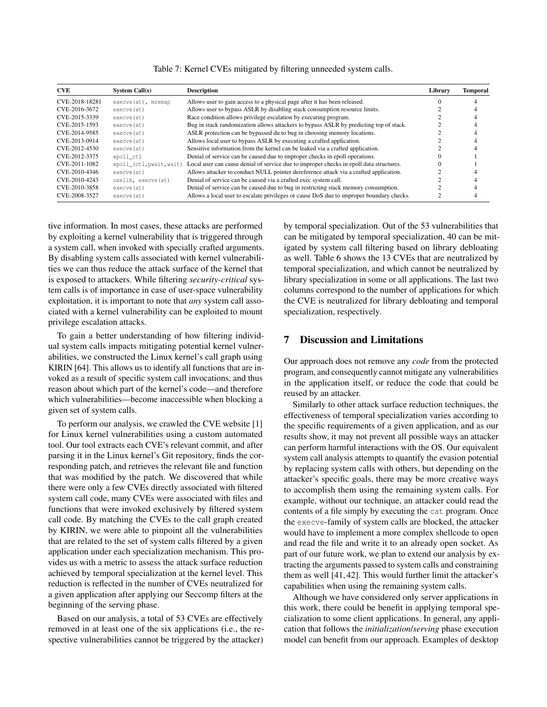| <b>CVE</b>     | System Call(s)           | <b>Description</b>                                                                       | Library | <b>Temporal</b> |
|----------------|--------------------------|------------------------------------------------------------------------------------------|---------|-----------------|
| CVE-2018-18281 | execve(at), mremap       | Allows user to gain access to a physical page after it has been released.                |         |                 |
| CVE-2016-3672  | execve (at)              | Allows user to bypass ASLR by disabling stack consumption resource limits.               |         |                 |
| CVE-2015-3339  | execve (at)              | Race condition allows privilege escalation by executing program.                         |         |                 |
| CVE-2015-1593  | execve (at)              | Bug in stack randomization allows attackers to bypass ASLR by predicting top of stack.   |         |                 |
| CVE-2014-9585  | execve (at)              | ASLR protection can be bypassed du to bug in choosing memory locations.                  |         |                 |
| CVE-2013-0914  | execve (at)              | Allows local user to bypass ASLR by executing a crafted application.                     |         |                 |
| CVE-2012-4530  | execve (at)              | Sensitive information from the kernel can be leaked via a crafted application.           |         |                 |
| CVE-2012-3375  | epoll ctl                | Denial of service can be caused due to improper checks in epoll operations.              |         |                 |
| CVE-2011-1082  | epoll_(ctl, pwait, wait) | Local user can cause denial of service due to improper checks in epoll data structures.  |         |                 |
| CVE-2010-4346  | execve (at)              | Allows attacker to conduct NULL pointer dereference attack via a crafted application.    |         |                 |
| CVE-2010-4243  | uselib, execve(at)       | Denial of service can be caused via a crafted exec system call.                          |         |                 |
| CVE-2010-3858  | execve (at)              | Denial of service can be caused due to bug in restricting stack memory consumption.      |         |                 |
| CVE-2008-3527  | execve (at)              | Allows a local user to escalate privileges or cause DoS due to improper boundary checks. |         |                 |

Table 7: Kernel CVEs mitigated by filtering unneeded system calls.

tive information. In most cases, these attacks are performed by exploiting a kernel vulnerability that is triggered through a system call, when invoked with specially crafted arguments. By disabling system calls associated with kernel vulnerabilities we can thus reduce the attack surface of the kernel that is exposed to attackers. While filtering *security-critical* system calls is of importance in case of user-space vulnerability exploitation, it is important to note that *any* system call associated with a kernel vulnerability can be exploited to mount privilege escalation attacks.

To gain a better understanding of how filtering individual system calls impacts mitigating potential kernel vulnerabilities, we constructed the Linux kernel's call graph using KIRIN [\[64\]](#page-16-10). This allows us to identify all functions that are invoked as a result of specific system call invocations, and thus reason about which part of the kernel's code—and therefore which vulnerabilities—become inaccessible when blocking a given set of system calls.

To perform our analysis, we crawled the CVE website [\[1\]](#page-14-11) for Linux kernel vulnerabilities using a custom automated tool. Our tool extracts each CVE's relevant commit, and after parsing it in the Linux kernel's Git repository, finds the corresponding patch, and retrieves the relevant file and function that was modified by the patch. We discovered that while there were only a few CVEs directly associated with filtered system call code, many CVEs were associated with files and functions that were invoked exclusively by filtered system call code. By matching the CVEs to the call graph created by KIRIN, we were able to pinpoint all the vulnerabilities that are related to the set of system calls filtered by a given application under each specialization mechanism. This provides us with a metric to assess the attack surface reduction achieved by temporal specialization at the kernel level. This reduction is reflected in the number of CVEs neutralized for a given application after applying our Seccomp filters at the beginning of the serving phase.

Based on our analysis, a total of 53 CVEs are effectively removed in at least one of the six applications (i.e., the respective vulnerabilities cannot be triggered by the attacker) by temporal specialization. Out of the 53 vulnerabilities that can be mitigated by temporal specialization, 40 can be mitigated by system call filtering based on library debloating as well. Table 6 shows the 13 CVEs that are neutralized by temporal specialization, and which cannot be neutralized by library specialization in some or all applications. The last two columns correspond to the number of applications for which the CVE is neutralized for library debloating and temporal specialization, respectively.

# <span id="page-12-0"></span>7 Discussion and Limitations

Our approach does not remove any *code* from the protected program, and consequently cannot mitigate any vulnerabilities in the application itself, or reduce the code that could be reused by an attacker.

Similarly to other attack surface reduction techniques, the effectiveness of temporal specialization varies according to the specific requirements of a given application, and as our results show, it may not prevent all possible ways an attacker can perform harmful interactions with the OS. Our equivalent system call analysis attempts to quantify the evasion potential by replacing system calls with others, but depending on the attacker's specific goals, there may be more creative ways to accomplish them using the remaining system calls. For example, without our technique, an attacker could read the contents of a file simply by executing the cat program. Once the execve-family of system calls are blocked, the attacker would have to implement a more complex shellcode to open and read the file and write it to an already open socket. As part of our future work, we plan to extend our analysis by extracting the arguments passed to system calls and constraining them as well [\[41,](#page-15-12) [42\]](#page-15-14). This would further limit the attacker's capabilities when using the remaining system calls.

Although we have considered only server applications in this work, there could be benefit in applying temporal specialization to some client applications. In general, any application that follows the *initialization*/*serving* phase execution model can benefit from our approach. Examples of desktop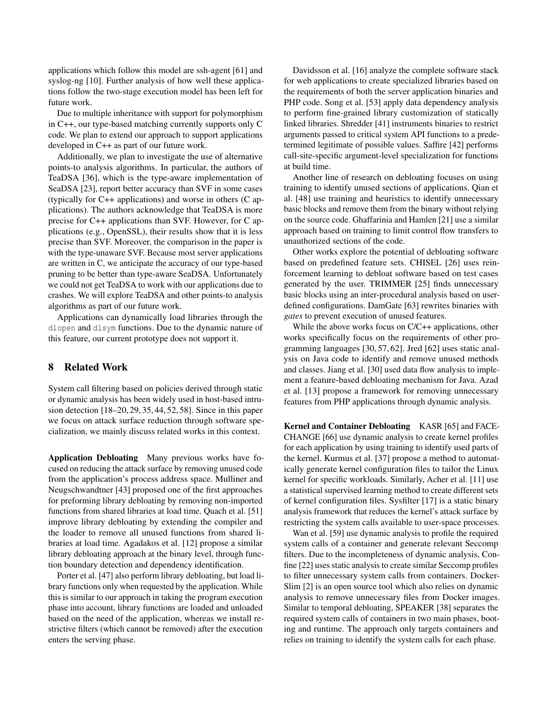applications which follow this model are ssh-agent [\[61\]](#page-16-11) and syslog-ng [\[10\]](#page-14-12). Further analysis of how well these applications follow the two-stage execution model has been left for future work.

Due to multiple inheritance with support for polymorphism in C++, our type-based matching currently supports only C code. We plan to extend our approach to support applications developed in C++ as part of our future work.

Additionally, we plan to investigate the use of alternative points-to analysis algorithms. In particular, the authors of TeaDSA [\[36\]](#page-15-15), which is the type-aware implementation of SeaDSA [\[23\]](#page-15-16), report better accuracy than SVF in some cases (typically for C++ applications) and worse in others (C applications). The authors acknowledge that TeaDSA is more precise for C++ applications than SVF. However, for C applications (e.g., OpenSSL), their results show that it is less precise than SVF. Moreover, the comparison in the paper is with the type-unaware SVF. Because most server applications are written in C, we anticipate the accuracy of our type-based pruning to be better than type-aware SeaDSA. Unfortunately we could not get TeaDSA to work with our applications due to crashes. We will explore TeaDSA and other points-to analysis algorithms as part of our future work.

Applications can dynamically load libraries through the dlopen and dlsym functions. Due to the dynamic nature of this feature, our current prototype does not support it.

# 8 Related Work

System call filtering based on policies derived through static or dynamic analysis has been widely used in host-based intrusion detection [\[18](#page-14-13)[–20,](#page-15-17) [29,](#page-15-18) [35,](#page-15-19) [44,](#page-16-12) [52,](#page-16-13) [58\]](#page-16-14). Since in this paper we focus on attack surface reduction through software specialization, we mainly discuss related works in this context.

Application Debloating Many previous works have focused on reducing the attack surface by removing unused code from the application's process address space. Mulliner and Neugschwandtner [\[43\]](#page-16-15) proposed one of the first approaches for preforming library debloating by removing non-imported functions from shared libraries at load time. Quach et al. [\[51\]](#page-16-1) improve library debloating by extending the compiler and the loader to remove all unused functions from shared libraries at load time. Agadakos et al. [\[12\]](#page-14-0) propose a similar library debloating approach at the binary level, through function boundary detection and dependency identification.

Porter et al. [\[47\]](#page-16-16) also perform library debloating, but load library functions only when requested by the application. While this is similar to our approach in taking the program execution phase into account, library functions are loaded and unloaded based on the need of the application, whereas we install restrictive filters (which cannot be removed) after the execution enters the serving phase.

Davidsson et al. [\[16\]](#page-14-14) analyze the complete software stack for web applications to create specialized libraries based on the requirements of both the server application binaries and PHP code. Song et al. [\[53\]](#page-16-17) apply data dependency analysis to perform fine-grained library customization of statically linked libraries. Shredder [\[41\]](#page-15-12) instruments binaries to restrict arguments passed to critical system API functions to a predetermined legitimate of possible values. Saffire [\[42\]](#page-15-14) performs call-site-specific argument-level specialization for functions at build time.

Another line of research on debloating focuses on using training to identify unused sections of applications. Qian et al. [\[48\]](#page-16-2) use training and heuristics to identify unnecessary basic blocks and remove them from the binary without relying on the source code. Ghaffarinia and Hamlen [\[21\]](#page-15-1) use a similar approach based on training to limit control flow transfers to unauthorized sections of the code.

Other works explore the potential of debloating software based on predefined feature sets. CHISEL [\[26\]](#page-15-6) uses reinforcement learning to debloat software based on test cases generated by the user. TRIMMER [\[25\]](#page-15-20) finds unnecessary basic blocks using an inter-procedural analysis based on userdefined configurations. DamGate [\[63\]](#page-16-18) rewrites binaries with *gates* to prevent execution of unused features.

While the above works focus on C/C++ applications, other works specifically focus on the requirements of other programming languages [\[30,](#page-15-21) [57,](#page-16-19) [62\]](#page-16-20). Jred [\[62\]](#page-16-20) uses static analysis on Java code to identify and remove unused methods and classes. Jiang et al. [\[30\]](#page-15-21) used data flow analysis to implement a feature-based debloating mechanism for Java. Azad et al. [\[13\]](#page-14-1) propose a framework for removing unnecessary features from PHP applications through dynamic analysis.

Kernel and Container Debloating KASR [\[65\]](#page-17-2) and FACE-CHANGE [\[66\]](#page-17-3) use dynamic analysis to create kernel profiles for each application by using training to identify used parts of the kernel. Kurmus et al. [\[37\]](#page-15-22) propose a method to automatically generate kernel configuration files to tailor the Linux kernel for specific workloads. Similarly, Acher et al. [\[11\]](#page-14-15) use a statistical supervised learning method to create different sets of kernel configuration files. Sysfilter [\[17\]](#page-14-16) is a static binary analysis framework that reduces the kernel's attack surface by restricting the system calls available to user-space processes.

Wan et al. [\[59\]](#page-16-3) use dynamic analysis to profile the required system calls of a container and generate relevant Seccomp filters. Due to the incompleteness of dynamic analysis, Confine [\[22\]](#page-15-2) uses static analysis to create similar Seccomp profiles to filter unnecessary system calls from containers. Docker-Slim [\[2\]](#page-14-17) is an open source tool which also relies on dynamic analysis to remove unnecessary files from Docker images. Similar to temporal debloating, SPEAKER [\[38\]](#page-15-3) separates the required system calls of containers in two main phases, booting and runtime. The approach only targets containers and relies on training to identify the system calls for each phase.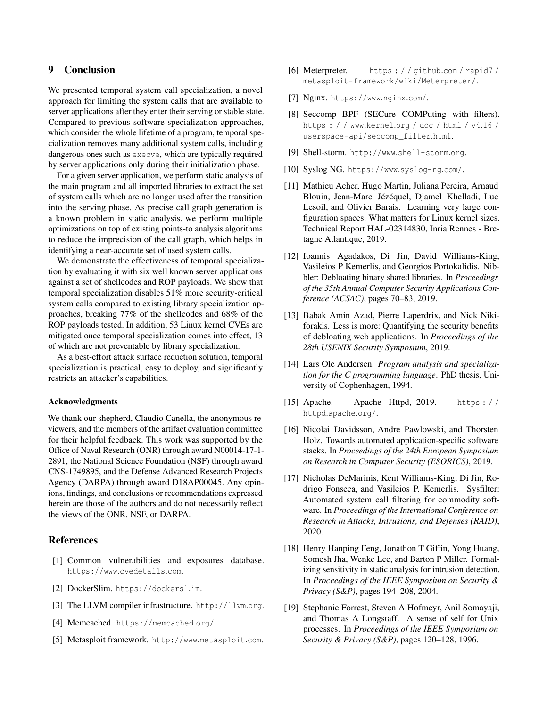# 9 Conclusion

We presented temporal system call specialization, a novel approach for limiting the system calls that are available to server applications after they enter their serving or stable state. Compared to previous software specialization approaches, which consider the whole lifetime of a program, temporal specialization removes many additional system calls, including dangerous ones such as execve, which are typically required by server applications only during their initialization phase.

For a given server application, we perform static analysis of the main program and all imported libraries to extract the set of system calls which are no longer used after the transition into the serving phase. As precise call graph generation is a known problem in static analysis, we perform multiple optimizations on top of existing points-to analysis algorithms to reduce the imprecision of the call graph, which helps in identifying a near-accurate set of used system calls.

We demonstrate the effectiveness of temporal specialization by evaluating it with six well known server applications against a set of shellcodes and ROP payloads. We show that temporal specialization disables 51% more security-critical system calls compared to existing library specialization approaches, breaking 77% of the shellcodes and 68% of the ROP payloads tested. In addition, 53 Linux kernel CVEs are mitigated once temporal specialization comes into effect, 13 of which are not preventable by library specialization.

As a best-effort attack surface reduction solution, temporal specialization is practical, easy to deploy, and significantly restricts an attacker's capabilities.

#### Acknowledgments

We thank our shepherd, Claudio Canella, the anonymous reviewers, and the members of the artifact evaluation committee for their helpful feedback. This work was supported by the Office of Naval Research (ONR) through award N00014-17-1- 2891, the National Science Foundation (NSF) through award CNS-1749895, and the Defense Advanced Research Projects Agency (DARPA) through award D18AP00045. Any opinions, findings, and conclusions or recommendations expressed herein are those of the authors and do not necessarily reflect the views of the ONR, NSF, or DARPA.

# References

- <span id="page-14-11"></span>[1] Common vulnerabilities and exposures database. [https://www](https://www.cvedetails.com).cvedetails.com.
- <span id="page-14-17"></span>[2] DockerSlim. [https://dockersl](https://dockersl.im).im.
- <span id="page-14-7"></span>[3] The LLVM compiler infrastructure. [http://llvm](http://llvm.org).org.
- <span id="page-14-5"></span>[4] Memcached. [https://memcached](https://memcached.org/).org/.
- <span id="page-14-8"></span>[5] Metasploit framework. [http://www](http://www.metasploit.com).metasploit.com.
- <span id="page-14-10"></span>[6] Meterpreter. [https : / / github](https://github.com/rapid7/metasploit-framework/wiki/Meterpreter/).com / rapid7 / [metasploit-framework/wiki/Meterpreter/](https://github.com/rapid7/metasploit-framework/wiki/Meterpreter/).
- <span id="page-14-2"></span>[7] Nginx. [https://www](https://www.nginx.com/).nginx.com/.
- <span id="page-14-4"></span>[8] Seccomp BPF (SECure COMPuting with filters). https : / / www.kernel.[org / doc / html / v4](https://www.kernel.org/doc/html/v4.16/userspace-api/seccomp_filter.html).16 / [userspace-api/seccomp\\_filter](https://www.kernel.org/doc/html/v4.16/userspace-api/seccomp_filter.html).html.
- <span id="page-14-9"></span>[9] Shell-storm. http://www.[shell-storm](http://www.shell-storm.org).org.
- <span id="page-14-12"></span>[10] Syslog NG. [https://www](https://www.syslog-ng.com/).syslog-ng.com/.
- <span id="page-14-15"></span>[11] Mathieu Acher, Hugo Martin, Juliana Pereira, Arnaud Blouin, Jean-Marc Jézéquel, Djamel Khelladi, Luc Lesoil, and Olivier Barais. Learning very large configuration spaces: What matters for Linux kernel sizes. Technical Report HAL-02314830, Inria Rennes - Bretagne Atlantique, 2019.
- <span id="page-14-0"></span>[12] Ioannis Agadakos, Di Jin, David Williams-King, Vasileios P Kemerlis, and Georgios Portokalidis. Nibbler: Debloating binary shared libraries. In *Proceedings of the 35th Annual Computer Security Applications Conference (ACSAC)*, pages 70–83, 2019.
- <span id="page-14-1"></span>[13] Babak Amin Azad, Pierre Laperdrix, and Nick Nikiforakis. Less is more: Quantifying the security benefits of debloating web applications. In *Proceedings of the 28th USENIX Security Symposium*, 2019.
- <span id="page-14-6"></span>[14] Lars Ole Andersen. *Program analysis and specialization for the C programming language*. PhD thesis, University of Cophenhagen, 1994.
- <span id="page-14-3"></span>[15] Apache. Apache Httpd, 2019. [https : / /](https://httpd.apache.org/) httpd.[apache](https://httpd.apache.org/).org/.
- <span id="page-14-14"></span>[16] Nicolai Davidsson, Andre Pawlowski, and Thorsten Holz. Towards automated application-specific software stacks. In *Proceedings of the 24th European Symposium on Research in Computer Security (ESORICS)*, 2019.
- <span id="page-14-16"></span>[17] Nicholas DeMarinis, Kent Williams-King, Di Jin, Rodrigo Fonseca, and Vasileios P. Kemerlis. Sysfilter: Automated system call filtering for commodity software. In *Proceedings of the International Conference on Research in Attacks, Intrusions, and Defenses (RAID)*, 2020.
- <span id="page-14-13"></span>[18] Henry Hanping Feng, Jonathon T Giffin, Yong Huang, Somesh Jha, Wenke Lee, and Barton P Miller. Formalizing sensitivity in static analysis for intrusion detection. In *Proceedings of the IEEE Symposium on Security & Privacy (S&P)*, pages 194–208, 2004.
- [19] Stephanie Forrest, Steven A Hofmeyr, Anil Somayaji, and Thomas A Longstaff. A sense of self for Unix processes. In *Proceedings of the IEEE Symposium on Security & Privacy (S&P)*, pages 120–128, 1996.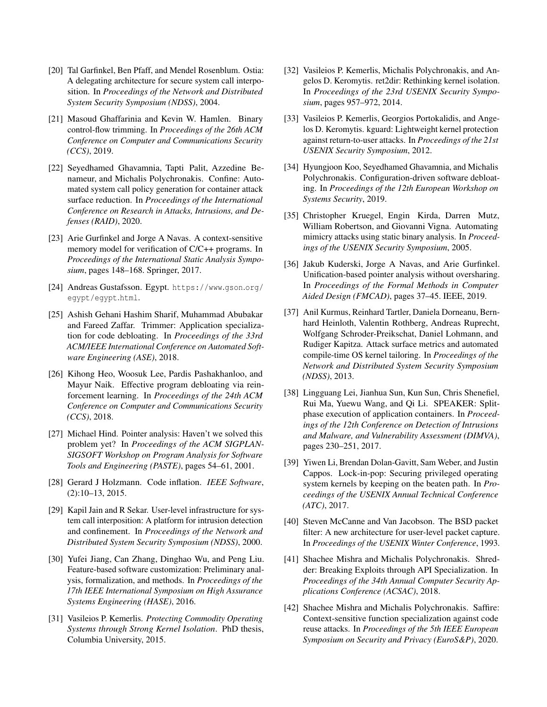- <span id="page-15-17"></span>[20] Tal Garfinkel, Ben Pfaff, and Mendel Rosenblum. Ostia: A delegating architecture for secure system call interposition. In *Proceedings of the Network and Distributed System Security Symposium (NDSS)*, 2004.
- <span id="page-15-1"></span>[21] Masoud Ghaffarinia and Kevin W. Hamlen. Binary control-flow trimming. In *Proceedings of the 26th ACM Conference on Computer and Communications Security (CCS)*, 2019.
- <span id="page-15-2"></span>[22] Seyedhamed Ghavamnia, Tapti Palit, Azzedine Benameur, and Michalis Polychronakis. Confine: Automated system call policy generation for container attack surface reduction. In *Proceedings of the International Conference on Research in Attacks, Intrusions, and Defenses (RAID)*, 2020.
- <span id="page-15-16"></span>[23] Arie Gurfinkel and Jorge A Navas. A context-sensitive memory model for verification of C/C++ programs. In *Proceedings of the International Static Analysis Symposium*, pages 148–168. Springer, 2017.
- <span id="page-15-11"></span>[24] Andreas Gustafsson. Egypt. [https://www](https://www.gson.org/egypt/egypt.html).gson.org/ [egypt/egypt](https://www.gson.org/egypt/egypt.html).html.
- <span id="page-15-20"></span>[25] Ashish Gehani Hashim Sharif, Muhammad Abubakar and Fareed Zaffar. Trimmer: Application specialization for code debloating. In *Proceedings of the 33rd ACM/IEEE International Conference on Automated Software Engineering (ASE)*, 2018.
- <span id="page-15-6"></span>[26] Kihong Heo, Woosuk Lee, Pardis Pashakhanloo, and Mayur Naik. Effective program debloating via reinforcement learning. In *Proceedings of the 24th ACM Conference on Computer and Communications Security (CCS)*, 2018.
- <span id="page-15-10"></span>[27] Michael Hind. Pointer analysis: Haven't we solved this problem yet? In *Proceedings of the ACM SIGPLAN-SIGSOFT Workshop on Program Analysis for Software Tools and Engineering (PASTE)*, pages 54–61, 2001.
- <span id="page-15-0"></span>[28] Gerard J Holzmann. Code inflation. *IEEE Software*, (2):10–13, 2015.
- <span id="page-15-18"></span>[29] Kapil Jain and R Sekar. User-level infrastructure for system call interposition: A platform for intrusion detection and confinement. In *Proceedings of the Network and Distributed System Security Symposium (NDSS)*, 2000.
- <span id="page-15-21"></span>[30] Yufei Jiang, Can Zhang, Dinghao Wu, and Peng Liu. Feature-based software customization: Preliminary analysis, formalization, and methods. In *Proceedings of the 17th IEEE International Symposium on High Assurance Systems Engineering (HASE)*, 2016.
- <span id="page-15-4"></span>[31] Vasileios P. Kemerlis. *Protecting Commodity Operating Systems through Strong Kernel Isolation*. PhD thesis, Columbia University, 2015.
- <span id="page-15-5"></span>[32] Vasileios P. Kemerlis, Michalis Polychronakis, and Angelos D. Keromytis. ret2dir: Rethinking kernel isolation. In *Proceedings of the 23rd USENIX Security Symposium*, pages 957–972, 2014.
- <span id="page-15-13"></span>[33] Vasileios P. Kemerlis, Georgios Portokalidis, and Angelos D. Keromytis. kguard: Lightweight kernel protection against return-to-user attacks. In *Proceedings of the 21st USENIX Security Symposium*, 2012.
- <span id="page-15-7"></span>[34] Hyungjoon Koo, Seyedhamed Ghavamnia, and Michalis Polychronakis. Configuration-driven software debloating. In *Proceedings of the 12th European Workshop on Systems Security*, 2019.
- <span id="page-15-19"></span>[35] Christopher Kruegel, Engin Kirda, Darren Mutz, William Robertson, and Giovanni Vigna. Automating mimicry attacks using static binary analysis. In *Proceedings of the USENIX Security Symposium*, 2005.
- <span id="page-15-15"></span>[36] Jakub Kuderski, Jorge A Navas, and Arie Gurfinkel. Unification-based pointer analysis without oversharing. In *Proceedings of the Formal Methods in Computer Aided Design (FMCAD)*, pages 37–45. IEEE, 2019.
- <span id="page-15-22"></span>[37] Anil Kurmus, Reinhard Tartler, Daniela Dorneanu, Bernhard Heinloth, Valentin Rothberg, Andreas Ruprecht, Wolfgang Schroder-Preikschat, Daniel Lohmann, and Rudiger Kapitza. Attack surface metrics and automated compile-time OS kernel tailoring. In *Proceedings of the Network and Distributed System Security Symposium (NDSS)*, 2013.
- <span id="page-15-3"></span>[38] Lingguang Lei, Jianhua Sun, Kun Sun, Chris Shenefiel, Rui Ma, Yuewu Wang, and Qi Li. SPEAKER: Splitphase execution of application containers. In *Proceedings of the 12th Conference on Detection of Intrusions and Malware, and Vulnerability Assessment (DIMVA)*, pages 230–251, 2017.
- <span id="page-15-9"></span>[39] Yiwen Li, Brendan Dolan-Gavitt, Sam Weber, and Justin Cappos. Lock-in-pop: Securing privileged operating system kernels by keeping on the beaten path. In *Proceedings of the USENIX Annual Technical Conference (ATC)*, 2017.
- <span id="page-15-8"></span>[40] Steven McCanne and Van Jacobson. The BSD packet filter: A new architecture for user-level packet capture. In *Proceedings of the USENIX Winter Conference*, 1993.
- <span id="page-15-12"></span>[41] Shachee Mishra and Michalis Polychronakis. Shredder: Breaking Exploits through API Specialization. In *Proceedings of the 34th Annual Computer Security Applications Conference (ACSAC)*, 2018.
- <span id="page-15-14"></span>[42] Shachee Mishra and Michalis Polychronakis. Saffire: Context-sensitive function specialization against code reuse attacks. In *Proceedings of the 5th IEEE European Symposium on Security and Privacy (EuroS&P)*, 2020.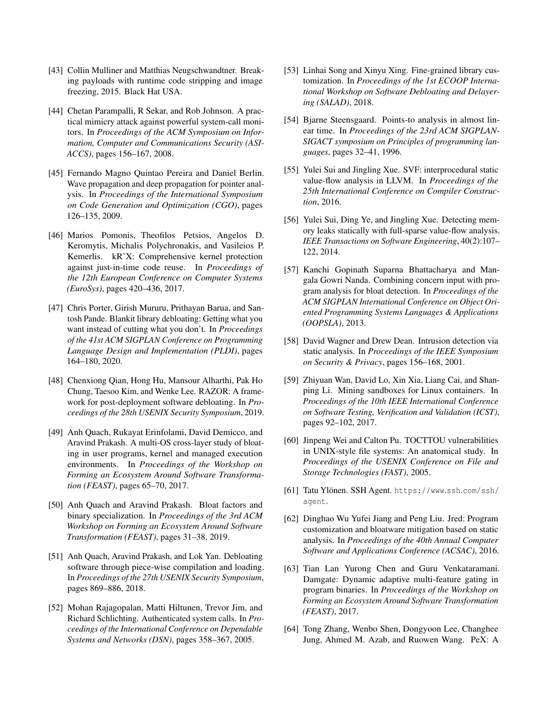- <span id="page-16-15"></span>[43] Collin Mulliner and Matthias Neugschwandtner. Breaking payloads with runtime code stripping and image freezing, 2015. Black Hat USA.
- <span id="page-16-12"></span>[44] Chetan Parampalli, R Sekar, and Rob Johnson. A practical mimicry attack against powerful system-call monitors. In *Proceedings of the ACM Symposium on Information, Computer and Communications Security (ASI-ACCS)*, pages 156–167, 2008.
- <span id="page-16-21"></span>[45] Fernando Magno Quintao Pereira and Daniel Berlin. Wave propagation and deep propagation for pointer analysis. In *Proceedings of the International Symposium on Code Generation and Optimization (CGO)*, pages 126–135, 2009.
- <span id="page-16-9"></span>[46] Marios Pomonis, Theofilos Petsios, Angelos D. Keromytis, Michalis Polychronakis, and Vasileios P. Kemerlis. kRˆX: Comprehensive kernel protection against just-in-time code reuse. In *Proceedings of the 12th European Conference on Computer Systems (EuroSys)*, pages 420–436, 2017.
- <span id="page-16-16"></span>[47] Chris Porter, Girish Mururu, Prithayan Barua, and Santosh Pande. Blankit library debloating: Getting what you want instead of cutting what you don't. In *Proceedings of the 41st ACM SIGPLAN Conference on Programming Language Design and Implementation (PLDI)*, pages 164–180, 2020.
- <span id="page-16-2"></span>[48] Chenxiong Qian, Hong Hu, Mansour Alharthi, Pak Ho Chung, Taesoo Kim, and Wenke Lee. RAZOR: A framework for post-deployment software debloating. In *Proceedings of the 28th USENIX Security Symposium*, 2019.
- <span id="page-16-0"></span>[49] Anh Quach, Rukayat Erinfolami, David Demicco, and Aravind Prakash. A multi-OS cross-layer study of bloating in user programs, kernel and managed execution environments. In *Proceedings of the Workshop on Forming an Ecosystem Around Software Transformation (FEAST)*, pages 65–70, 2017.
- <span id="page-16-4"></span>[50] Anh Quach and Aravind Prakash. Bloat factors and binary specialization. In *Proceedings of the 3rd ACM Workshop on Forming an Ecosystem Around Software Transformation (FEAST)*, pages 31–38, 2019.
- <span id="page-16-1"></span>[51] Anh Quach, Aravind Prakash, and Lok Yan. Debloating software through piece-wise compilation and loading. In *Proceedings of the 27th USENIX Security Symposium*, pages 869–886, 2018.
- <span id="page-16-13"></span>[52] Mohan Rajagopalan, Matti Hiltunen, Trevor Jim, and Richard Schlichting. Authenticated system calls. In *Proceedings of the International Conference on Dependable Systems and Networks (DSN)*, pages 358–367, 2005.
- <span id="page-16-17"></span>[53] Linhai Song and Xinyu Xing. Fine-grained library customization. In *Proceedings of the 1st ECOOP International Workshop on Software Debloating and Delayering (SALAD)*, 2018.
- <span id="page-16-8"></span>[54] Bjarne Steensgaard. Points-to analysis in almost linear time. In *Proceedings of the 23rd ACM SIGPLAN-SIGACT symposium on Principles of programming languages*, pages 32–41, 1996.
- <span id="page-16-6"></span>[55] Yulei Sui and Jingling Xue. SVF: interprocedural static value-flow analysis in LLVM. In *Proceedings of the 25th International Conference on Compiler Construction*, 2016.
- <span id="page-16-7"></span>[56] Yulei Sui, Ding Ye, and Jingling Xue. Detecting memory leaks statically with full-sparse value-flow analysis. *IEEE Transactions on Software Engineering*, 40(2):107– 122, 2014.
- <span id="page-16-19"></span>[57] Kanchi Gopinath Suparna Bhattacharya and Mangala Gowri Nanda. Combining concern input with program analysis for bloat detection. In *Proceedings of the ACM SIGPLAN International Conference on Object Oriented Programming Systems Languages & Applications (OOPSLA)*, 2013.
- <span id="page-16-14"></span>[58] David Wagner and Drew Dean. Intrusion detection via static analysis. In *Proceedings of the IEEE Symposium on Security & Privacy*, pages 156–168, 2001.
- <span id="page-16-3"></span>[59] Zhiyuan Wan, David Lo, Xin Xia, Liang Cai, and Shanping Li. Mining sandboxes for Linux containers. In *Proceedings of the 10th IEEE International Conference on Software Testing, Verification and Validation (ICST)*, pages 92–102, 2017.
- <span id="page-16-5"></span>[60] Jinpeng Wei and Calton Pu. TOCTTOU vulnerabilities in UNIX-style file systems: An anatomical study. In *Proceedings of the USENIX Conference on File and Storage Technologies (FAST)*, 2005.
- <span id="page-16-11"></span>[61] Tatu Ylönen. SSH Agent. [https://www](https://www.ssh.com/ssh/agent).ssh.com/ssh/ [agent](https://www.ssh.com/ssh/agent).
- <span id="page-16-20"></span>[62] Dinghao Wu Yufei Jiang and Peng Liu. Jred: Program customization and bloatware mitigation based on static analysis. In *Proceedings of the 40th Annual Computer Software and Applications Conference (ACSAC)*, 2016.
- <span id="page-16-18"></span>[63] Tian Lan Yurong Chen and Guru Venkataramani. Damgate: Dynamic adaptive multi-feature gating in program binaries. In *Proceedings of the Workshop on Forming an Ecosystem Around Software Transformation (FEAST)*, 2017.
- <span id="page-16-10"></span>[64] Tong Zhang, Wenbo Shen, Dongyoon Lee, Changhee Jung, Ahmed M. Azab, and Ruowen Wang. PeX: A